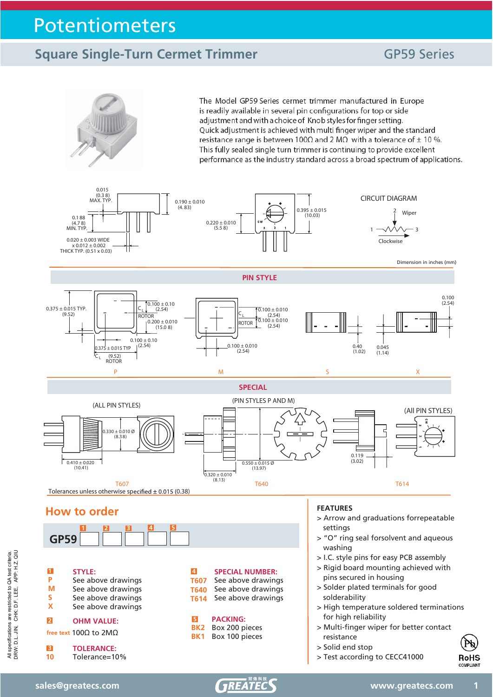## **Square Single-Turn Cermet Trimmer** GP59 Series